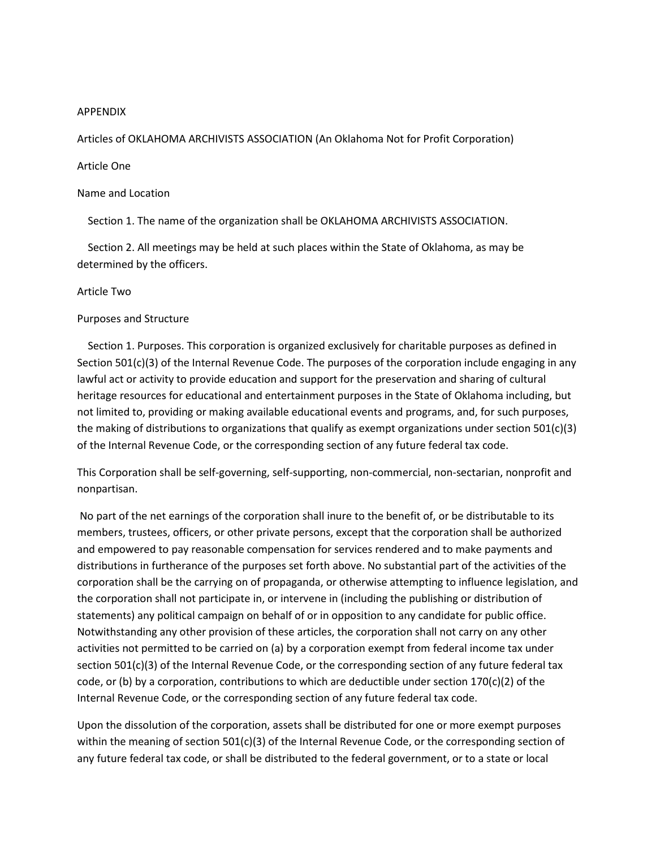### APPENDIX

Articles of OKLAHOMA ARCHIVISTS ASSOCIATION (An Oklahoma Not for Profit Corporation)

# Article One

Name and Location

Section 1. The name of the organization shall be OKLAHOMA ARCHIVISTS ASSOCIATION.

 Section 2. All meetings may be held at such places within the State of Oklahoma, as may be determined by the officers.

### Article Two

### Purposes and Structure

 Section 1. Purposes. This corporation is organized exclusively for charitable purposes as defined in Section 501(c)(3) of the Internal Revenue Code. The purposes of the corporation include engaging in any lawful act or activity to provide education and support for the preservation and sharing of cultural heritage resources for educational and entertainment purposes in the State of Oklahoma including, but not limited to, providing or making available educational events and programs, and, for such purposes, the making of distributions to organizations that qualify as exempt organizations under section 501(c)(3) of the Internal Revenue Code, or the corresponding section of any future federal tax code.

This Corporation shall be self-governing, self-supporting, non-commercial, non-sectarian, nonprofit and nonpartisan.

No part of the net earnings of the corporation shall inure to the benefit of, or be distributable to its members, trustees, officers, or other private persons, except that the corporation shall be authorized and empowered to pay reasonable compensation for services rendered and to make payments and distributions in furtherance of the purposes set forth above. No substantial part of the activities of the corporation shall be the carrying on of propaganda, or otherwise attempting to influence legislation, and the corporation shall not participate in, or intervene in (including the publishing or distribution of statements) any political campaign on behalf of or in opposition to any candidate for public office. Notwithstanding any other provision of these articles, the corporation shall not carry on any other activities not permitted to be carried on (a) by a corporation exempt from federal income tax under section 501(c)(3) of the Internal Revenue Code, or the corresponding section of any future federal tax code, or (b) by a corporation, contributions to which are deductible under section  $170(c)(2)$  of the Internal Revenue Code, or the corresponding section of any future federal tax code.

Upon the dissolution of the corporation, assets shall be distributed for one or more exempt purposes within the meaning of section 501(c)(3) of the Internal Revenue Code, or the corresponding section of any future federal tax code, or shall be distributed to the federal government, or to a state or local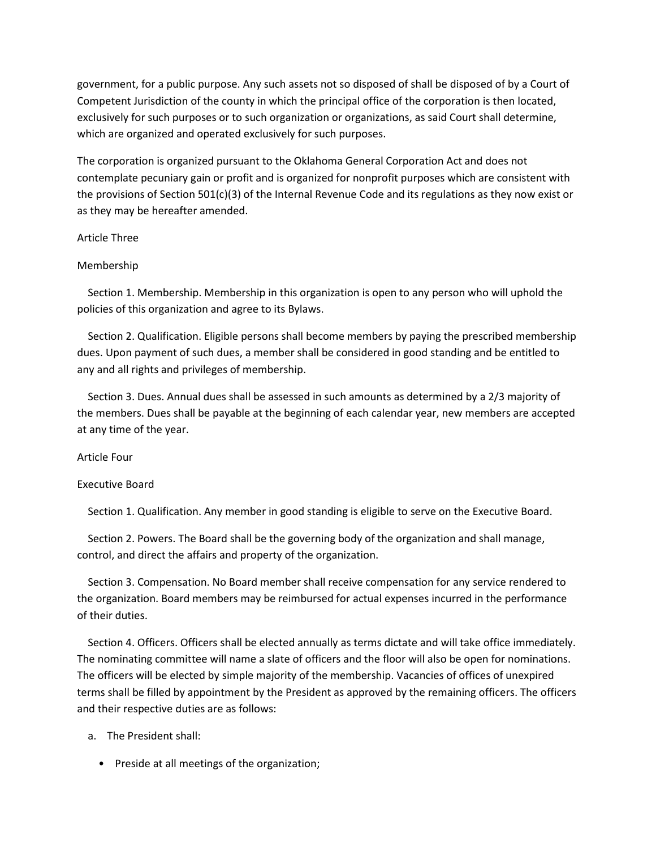government, for a public purpose. Any such assets not so disposed of shall be disposed of by a Court of Competent Jurisdiction of the county in which the principal office of the corporation is then located, exclusively for such purposes or to such organization or organizations, as said Court shall determine, which are organized and operated exclusively for such purposes.

The corporation is organized pursuant to the Oklahoma General Corporation Act and does not contemplate pecuniary gain or profit and is organized for nonprofit purposes which are consistent with the provisions of Section 501(c)(3) of the Internal Revenue Code and its regulations as they now exist or as they may be hereafter amended.

# Article Three

# Membership

 Section 1. Membership. Membership in this organization is open to any person who will uphold the policies of this organization and agree to its Bylaws.

 Section 2. Qualification. Eligible persons shall become members by paying the prescribed membership dues. Upon payment of such dues, a member shall be considered in good standing and be entitled to any and all rights and privileges of membership.

 Section 3. Dues. Annual dues shall be assessed in such amounts as determined by a 2/3 majority of the members. Dues shall be payable at the beginning of each calendar year, new members are accepted at any time of the year.

## Article Four

## Executive Board

Section 1. Qualification. Any member in good standing is eligible to serve on the Executive Board.

 Section 2. Powers. The Board shall be the governing body of the organization and shall manage, control, and direct the affairs and property of the organization.

 Section 3. Compensation. No Board member shall receive compensation for any service rendered to the organization. Board members may be reimbursed for actual expenses incurred in the performance of their duties.

 Section 4. Officers. Officers shall be elected annually as terms dictate and will take office immediately. The nominating committee will name a slate of officers and the floor will also be open for nominations. The officers will be elected by simple majority of the membership. Vacancies of offices of unexpired terms shall be filled by appointment by the President as approved by the remaining officers. The officers and their respective duties are as follows:

- a. The President shall:
	- Preside at all meetings of the organization;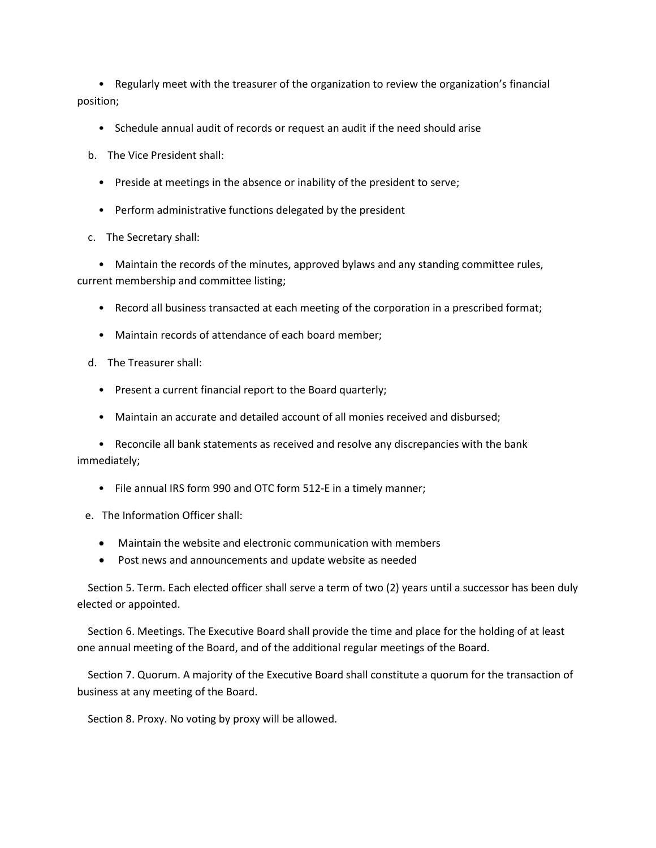• Regularly meet with the treasurer of the organization to review the organization's financial position;

• Schedule annual audit of records or request an audit if the need should arise

b. The Vice President shall:

- Preside at meetings in the absence or inability of the president to serve;
- Perform administrative functions delegated by the president

c. The Secretary shall:

 • Maintain the records of the minutes, approved bylaws and any standing committee rules, current membership and committee listing;

- Record all business transacted at each meeting of the corporation in a prescribed format;
- Maintain records of attendance of each board member;
- d. The Treasurer shall:
	- Present a current financial report to the Board quarterly;
	- Maintain an accurate and detailed account of all monies received and disbursed;

 • Reconcile all bank statements as received and resolve any discrepancies with the bank immediately;

- File annual IRS form 990 and OTC form 512-E in a timely manner;
- e. The Information Officer shall:
	- Maintain the website and electronic communication with members
	- Post news and announcements and update website as needed

 Section 5. Term. Each elected officer shall serve a term of two (2) years until a successor has been duly elected or appointed.

 Section 6. Meetings. The Executive Board shall provide the time and place for the holding of at least one annual meeting of the Board, and of the additional regular meetings of the Board.

 Section 7. Quorum. A majority of the Executive Board shall constitute a quorum for the transaction of business at any meeting of the Board.

Section 8. Proxy. No voting by proxy will be allowed.